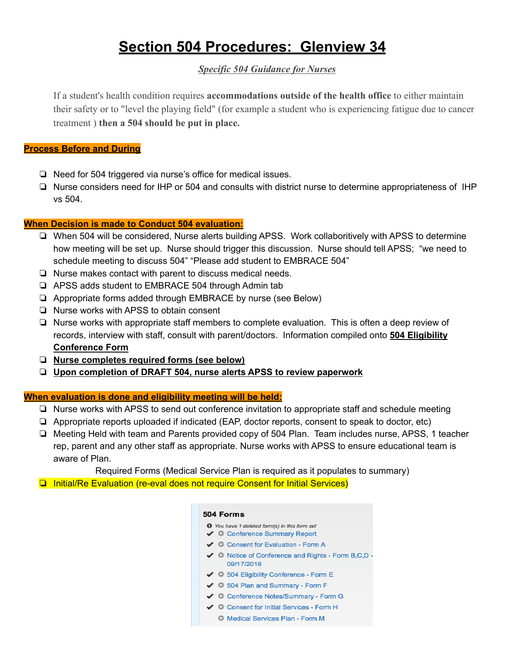# **Section 504 Procedures: Glenview 34**

### *Specific 504 Guidance for Nurses*

If a student's health condition requires **accommodations outside of the health office** to either maintain their safety or to "level the playing field" (for example a student who is experiencing fatigue due to cancer treatment ) **then a 504 should be put in place.**

#### **Process Before and During**

- ❏ Need for 504 triggered via nurse's office for medical issues.
- ❏ Nurse considers need for IHP or 504 and consults with district nurse to determine appropriateness of IHP vs 504.

#### **When Decision is made to Conduct 504 evaluation:**

- ❏ When 504 will be considered, Nurse alerts building APSS. Work collaboritively with APSS to determine how meeting will be set up. Nurse should trigger this discussion. Nurse should tell APSS; "we need to schedule meeting to discuss 504" "Please add student to EMBRACE 504"
- ❏ Nurse makes contact with parent to discuss medical needs.
- ❏ APSS adds student to EMBRACE 504 through Admin tab
- ❏ Appropriate forms added through EMBRACE by nurse (see Below)
- ❏ Nurse works with APSS to obtain consent
- ❏ Nurse works with appropriate staff members to complete evaluation. This is often a deep review of records, interview with staff, consult with parent/doctors. Information compiled onto **504 Eligibility Conference Form**
- ❏ **Nurse completes required forms (see below)**
- ❏ **Upon completion of DRAFT 504, nurse alerts APSS to review paperwork**

#### **When evaluation is done and eligibility meeting will be held:**

- ❏ Nurse works with APSS to send out conference invitation to appropriate staff and schedule meeting
- ❏ Appropriate reports uploaded if indicated (EAP, doctor reports, consent to speak to doctor, etc)
- ❏ Meeting Held with team and Parents provided copy of 504 Plan. Team includes nurse, APSS, 1 teacher rep, parent and any other staff as appropriate. Nurse works with APSS to ensure educational team is aware of Plan.

Required Forms (Medical Service Plan is required as it populates to summary)

❏ Initial/Re Evaluation (re-eval does not require Consent for Initial Services)

#### 504 Forms

- You have 1 deleted form(s) in this form set
- ←  $\triangleq$  Conference Summary Report
- ← Ö Consent for Evaluation Form A
- ←  $\clubsuit$  Notice of Conference and Rights Form B,C,D -09/17/2019
- ← ※ 504 Eligibility Conference Form E
- ← 章 504 Plan and Summary Form F
- ←  $\clubsuit$  Conference Notes/Summary Form G
- ←  $\blacklozenge$  Consent for Initial Services Form H
	- Medical Services Plan Form M